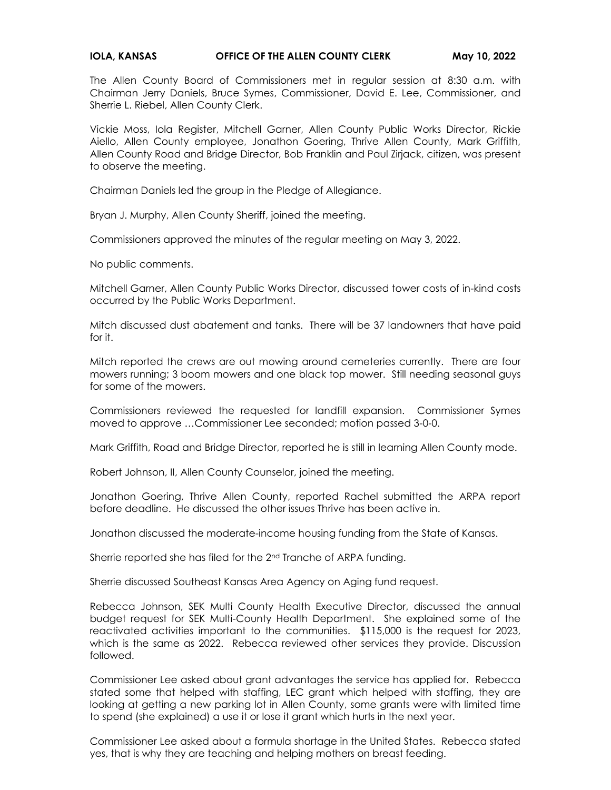## **IOLA, KANSAS CERCE OF THE ALLEN COUNTY CLERK May 10, 2022**

The Allen County Board of Commissioners met in regular session at 8:30 a.m. with Chairman Jerry Daniels, Bruce Symes, Commissioner, David E. Lee, Commissioner, and Sherrie L. Riebel, Allen County Clerk.

Vickie Moss, Iola Register, Mitchell Garner, Allen County Public Works Director, Rickie Aiello, Allen County employee, Jonathon Goering, Thrive Allen County, Mark Griffith, Allen County Road and Bridge Director, Bob Franklin and Paul Zirjack, citizen, was present to observe the meeting.

Chairman Daniels led the group in the Pledge of Allegiance.

Bryan J. Murphy, Allen County Sheriff, joined the meeting.

Commissioners approved the minutes of the regular meeting on May 3, 2022.

No public comments.

Mitchell Garner, Allen County Public Works Director, discussed tower costs of in-kind costs occurred by the Public Works Department.

Mitch discussed dust abatement and tanks. There will be 37 landowners that have paid for it.

Mitch reported the crews are out mowing around cemeteries currently. There are four mowers running; 3 boom mowers and one black top mower. Still needing seasonal guys for some of the mowers.

Commissioners reviewed the requested for landfill expansion. Commissioner Symes moved to approve …Commissioner Lee seconded; motion passed 3-0-0.

Mark Griffith, Road and Bridge Director, reported he is still in learning Allen County mode.

Robert Johnson, II, Allen County Counselor, joined the meeting.

Jonathon Goering, Thrive Allen County, reported Rachel submitted the ARPA report before deadline. He discussed the other issues Thrive has been active in.

Jonathon discussed the moderate-income housing funding from the State of Kansas.

Sherrie reported she has filed for the 2<sup>nd</sup> Tranche of ARPA funding.

Sherrie discussed Southeast Kansas Area Agency on Aging fund request.

Rebecca Johnson, SEK Multi County Health Executive Director, discussed the annual budget request for SEK Multi-County Health Department. She explained some of the reactivated activities important to the communities. \$115,000 is the request for 2023, which is the same as 2022. Rebecca reviewed other services they provide. Discussion followed.

Commissioner Lee asked about grant advantages the service has applied for. Rebecca stated some that helped with staffing, LEC grant which helped with staffing, they are looking at getting a new parking lot in Allen County, some grants were with limited time to spend (she explained) a use it or lose it grant which hurts in the next year.

Commissioner Lee asked about a formula shortage in the United States. Rebecca stated yes, that is why they are teaching and helping mothers on breast feeding.